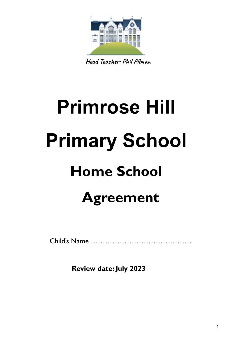

**Head Teacher: Phil Allman**

# **Primrose Hill Primary School Home School Agreement**

Child's Name ……………………………………

**Review date: July 2023**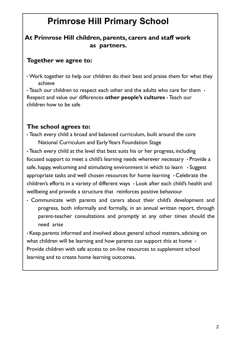# **Primrose Hill Primary School**

## **At Primrose Hill children, parents, carers and staff work as partners.**

#### **Together we agree to:**

• Work together to help our children do their best and praise them for what they achieve

• Teach our children to respect each other and the adults who care for them  $\cdot$ Respect and value our differences **other people's cultures** • Teach our children how to be safe

## **The school agrees to:**

• Teach every child a broad and balanced curriculum, built around the core National Curriculum and EarlyYears Foundation Stage

• Teach every child at the level that best suits his or her progress, including focused support to meet a child's learning needs wherever necessary • Provide a safe, happy, welcoming and stimulating environment in which to learn  $\cdot$  Suggest appropriate tasks and well chosen resources for home learning • Celebrate the children's efforts in a variety of different ways • Look after each child's health and wellbeing and provide a structure that reinforces positive behaviour

• Communicate with parents and carers about their child's development and progress, both informally and formally, in an annual written report, through parent-teacher consultations and promptly at any other times should the need arise

• Keep parents informed and involved about general school matters, advising on what children will be learning and how parents can support this at home  $\cdot$ Provide children with safe access to on-line resources to supplement school learning and to create home learning outcomes.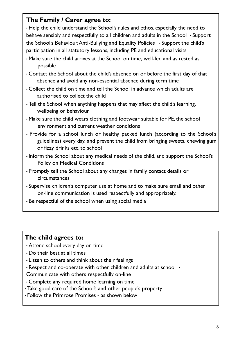# **The Family / Carer agree to:**

• Help the child understand the School's rules and ethos, especially the need to behave sensibly and respectfully to all children and adults in the School • Support the School's Behaviour,Anti-Bullying and Equality Policies • Support the child's participation in all statutory lessons, including PE and educational visits

- Make sure the child arrives at the School on time, well-fed and as rested as possible
- Contact the School about the child's absence on or before the first day of that absence and avoid any non-essential absence during term time
- Collect the child on time and tell the School in advance which adults are authorised to collect the child
- Tell the School when anything happens that may affect the child's learning, wellbeing or behaviour
- Make sure the child wears clothing and footwear suitable for PE, the school environment and current weather conditions
- Provide for a school lunch or healthy packed lunch (according to the School's guidelines) every day, and prevent the child from bringing sweets, chewing gum or fizzy drinks etc. to school
- Inform the School about any medical needs of the child, and support the School's Policy on Medical Conditions
- Promptly tell the School about any changes in family contact details or circumstances
- Supervise children's computer use at home and to make sure email and other on-line communication is used respectfully and appropriately.
- Be respectful of the school when using social media

# **The child agrees to:**

- Attend school every day on time
- Do their best at all times
- Listen to others and think about their feelings
- $\cdot$  Respect and co-operate with other children and adults at school  $\cdot$

Communicate with others respectfully on-line

- Complete any required home learning on time
- Take good care of the School's and other people's property
- Follow the Primrose Promises as shown below